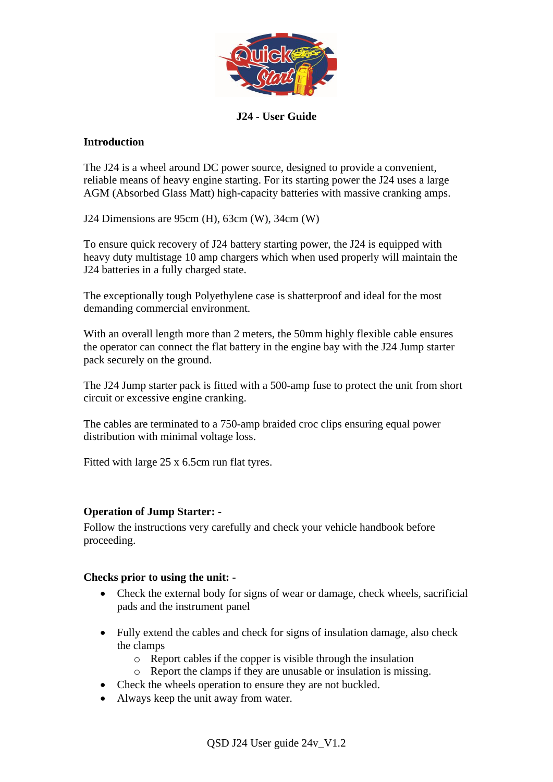

## **J24 - User Guide**

### **Introduction**

The J24 is a wheel around DC power source, designed to provide a convenient, reliable means of heavy engine starting. For its starting power the J24 uses a large AGM (Absorbed Glass Matt) high-capacity batteries with massive cranking amps.

J24 Dimensions are 95cm (H), 63cm (W), 34cm (W)

To ensure quick recovery of J24 battery starting power, the J24 is equipped with heavy duty multistage 10 amp chargers which when used properly will maintain the J24 batteries in a fully charged state.

The exceptionally tough Polyethylene case is shatterproof and ideal for the most demanding commercial environment.

With an overall length more than 2 meters, the 50mm highly flexible cable ensures the operator can connect the flat battery in the engine bay with the J24 Jump starter pack securely on the ground.

The J24 Jump starter pack is fitted with a 500-amp fuse to protect the unit from short circuit or excessive engine cranking.

The cables are terminated to a 750-amp braided croc clips ensuring equal power distribution with minimal voltage loss.

Fitted with large 25 x 6.5cm run flat tyres.

#### **Operation of Jump Starter: -**

Follow the instructions very carefully and check your vehicle handbook before proceeding.

#### **Checks prior to using the unit: -**

- Check the external body for signs of wear or damage, check wheels, sacrificial pads and the instrument panel
- Fully extend the cables and check for signs of insulation damage, also check the clamps
	- o Report cables if the copper is visible through the insulation
	- o Report the clamps if they are unusable or insulation is missing.
- Check the wheels operation to ensure they are not buckled.
- Always keep the unit away from water.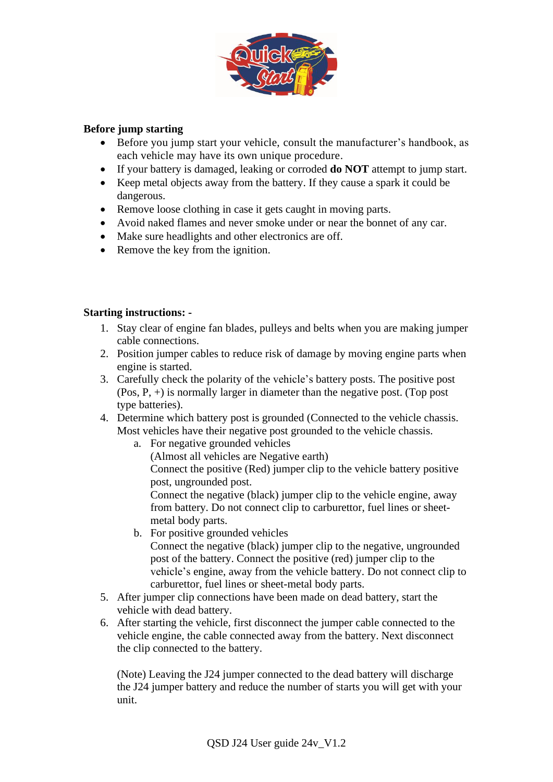

## **Before jump starting**

- Before you jump start your vehicle, consult the manufacturer's handbook, as each vehicle may have its own unique procedure.
- If your battery is damaged, leaking or corroded **do NOT** attempt to jump start.
- Keep metal objects away from the battery. If they cause a spark it could be dangerous.
- Remove loose clothing in case it gets caught in moving parts.
- Avoid naked flames and never smoke under or near the bonnet of any car.
- Make sure headlights and other electronics are off.
- Remove the key from the ignition.

### **Starting instructions: -**

- 1. Stay clear of engine fan blades, pulleys and belts when you are making jumper cable connections.
- 2. Position jumper cables to reduce risk of damage by moving engine parts when engine is started.
- 3. Carefully check the polarity of the vehicle's battery posts. The positive post (Pos, P, +) is normally larger in diameter than the negative post. (Top post type batteries).
- 4. Determine which battery post is grounded (Connected to the vehicle chassis. Most vehicles have their negative post grounded to the vehicle chassis.
	- a. For negative grounded vehicles
		- (Almost all vehicles are Negative earth)
		- Connect the positive (Red) jumper clip to the vehicle battery positive post, ungrounded post.

Connect the negative (black) jumper clip to the vehicle engine, away from battery. Do not connect clip to carburettor, fuel lines or sheetmetal body parts.

- b. For positive grounded vehicles Connect the negative (black) jumper clip to the negative, ungrounded post of the battery. Connect the positive (red) jumper clip to the
- vehicle's engine, away from the vehicle battery. Do not connect clip to carburettor, fuel lines or sheet-metal body parts.
- 5. After jumper clip connections have been made on dead battery, start the vehicle with dead battery.
- 6. After starting the vehicle, first disconnect the jumper cable connected to the vehicle engine, the cable connected away from the battery. Next disconnect the clip connected to the battery.

(Note) Leaving the J24 jumper connected to the dead battery will discharge the J24 jumper battery and reduce the number of starts you will get with your unit.